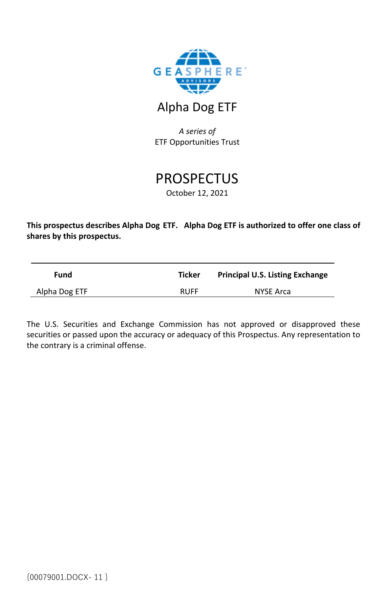

## Alpha Dog ETF

*A series of* ETF Opportunities Trust

# **PROSPECTUS**

October 12, 2021

**This prospectus describes Alpha Dog ETF. Alpha Dog ETF is authorized to offer one class of shares by this prospectus.**

| Fund          | <b>Ticker</b> | <b>Principal U.S. Listing Exchange</b> |
|---------------|---------------|----------------------------------------|
| Alpha Dog ETF | <b>RUFF</b>   | NYSE Arca                              |

The U.S. Securities and Exchange Commission has not approved or disapproved these securities or passed upon the accuracy or adequacy of this Prospectus. Any representation to the contrary is a criminal offense.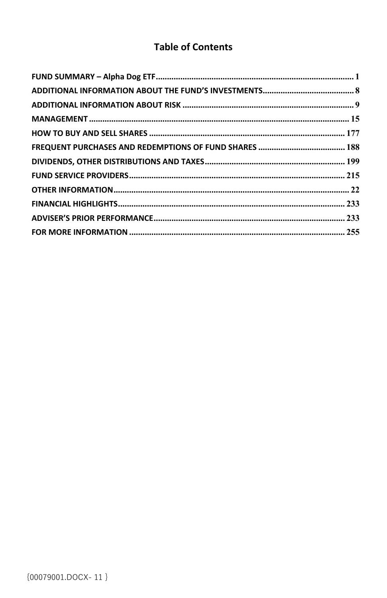## **Table of Contents**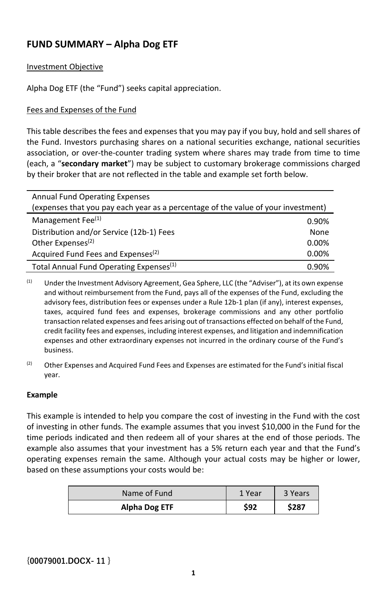## **FUND SUMMARY – Alpha Dog ETF**

#### Investment Objective

Alpha Dog ETF (the "Fund") seeks capital appreciation.

#### Fees and Expenses of the Fund

This table describes the fees and expenses that you may pay if you buy, hold and sell shares of the Fund. Investors purchasing shares on a national securities exchange, national securities association, or over-the-counter trading system where shares may trade from time to time (each, a "**secondary market**") may be subject to customary brokerage commissions charged by their broker that are not reflected in the table and example set forth below.

| <b>Annual Fund Operating Expenses</b>                                             |       |  |
|-----------------------------------------------------------------------------------|-------|--|
| (expenses that you pay each year as a percentage of the value of your investment) |       |  |
| Management Fee <sup>(1)</sup>                                                     | 0.90% |  |
| Distribution and/or Service (12b-1) Fees                                          | None  |  |
| Other Expenses <sup>(2)</sup>                                                     | 0.00% |  |
| Acquired Fund Fees and Expenses <sup>(2)</sup>                                    | 0.00% |  |
| Total Annual Fund Operating Expenses <sup>(1)</sup>                               | 0.90% |  |

(1) Under the Investment Advisory Agreement, Gea Sphere, LLC (the "Adviser"), at its own expense and without reimbursement from the Fund, pays all of the expenses of the Fund, excluding the advisory fees, distribution fees or expenses under a Rule 12b-1 plan (if any), interest expenses, taxes, acquired fund fees and expenses, brokerage commissions and any other portfolio transaction related expenses and fees arising out of transactions effected on behalf of the Fund, credit facility fees and expenses, including interest expenses, and litigation and indemnification expenses and other extraordinary expenses not incurred in the ordinary course of the Fund's business.

(2) Other Expenses and Acquired Fund Fees and Expenses are estimated for the Fund's initial fiscal year.

#### **Example**

This example is intended to help you compare the cost of investing in the Fund with the cost of investing in other funds. The example assumes that you invest \$10,000 in the Fund for the time periods indicated and then redeem all of your shares at the end of those periods. The example also assumes that your investment has a 5% return each year and that the Fund's operating expenses remain the same. Although your actual costs may be higher or lower, based on these assumptions your costs would be:

| Name of Fund  | 1 Year | 3 Years |
|---------------|--------|---------|
| Alpha Dog ETF | \$92   | \$287   |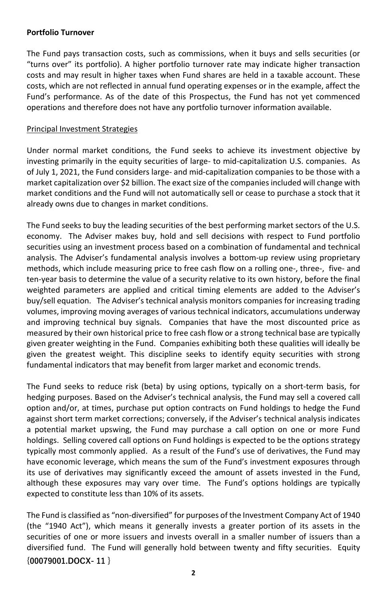#### **Portfolio Turnover**

The Fund pays transaction costs, such as commissions, when it buys and sells securities (or "turns over" its portfolio). A higher portfolio turnover rate may indicate higher transaction costs and may result in higher taxes when Fund shares are held in a taxable account. These costs, which are not reflected in annual fund operating expenses or in the example, affect the Fund's performance. As of the date of this Prospectus, the Fund has not yet commenced operations and therefore does not have any portfolio turnover information available.

#### Principal Investment Strategies

Under normal market conditions, the Fund seeks to achieve its investment objective by investing primarily in the equity securities of large- to mid-capitalization U.S. companies. As of July 1, 2021, the Fund considers large- and mid-capitalization companies to be those with a market capitalization over \$2 billion. The exact size of the companies included will change with market conditions and the Fund will not automatically sell or cease to purchase a stock that it already owns due to changes in market conditions.

The Fund seeks to buy the leading securities of the best performing market sectors of the U.S. economy. The Adviser makes buy, hold and sell decisions with respect to Fund portfolio securities using an investment process based on a combination of fundamental and technical analysis. The Adviser's fundamental analysis involves a bottom-up review using proprietary methods, which include measuring price to free cash flow on a rolling one-, three-, five- and ten-year basis to determine the value of a security relative to its own history, before the final weighted parameters are applied and critical timing elements are added to the Adviser's buy/sell equation. The Adviser's technical analysis monitors companies for increasing trading volumes, improving moving averages of various technical indicators, accumulations underway and improving technical buy signals. Companies that have the most discounted price as measured by their own historical price to free cash flow or a strong technical base are typically given greater weighting in the Fund. Companies exhibiting both these qualities will ideally be given the greatest weight. This discipline seeks to identify equity securities with strong fundamental indicators that may benefit from larger market and economic trends.

The Fund seeks to reduce risk (beta) by using options, typically on a short-term basis, for hedging purposes. Based on the Adviser's technical analysis, the Fund may sell a covered call option and/or, at times, purchase put option contracts on Fund holdings to hedge the Fund against short term market corrections; conversely, if the Adviser's technical analysis indicates a potential market upswing, the Fund may purchase a call option on one or more Fund holdings. Selling covered call options on Fund holdings is expected to be the options strategy typically most commonly applied. As a result of the Fund's use of derivatives, the Fund may have economic leverage, which means the sum of the Fund's investment exposures through its use of derivatives may significantly exceed the amount of assets invested in the Fund, although these exposures may vary over time. The Fund's options holdings are typically expected to constitute less than 10% of its assets.

**{00079001.DOCX- 11 }** The Fund is classified as "non-diversified" for purposes of the Investment Company Act of 1940 (the "1940 Act"), which means it generally invests a greater portion of its assets in the securities of one or more issuers and invests overall in a smaller number of issuers than a diversified fund. The Fund will generally hold between twenty and fifty securities. Equity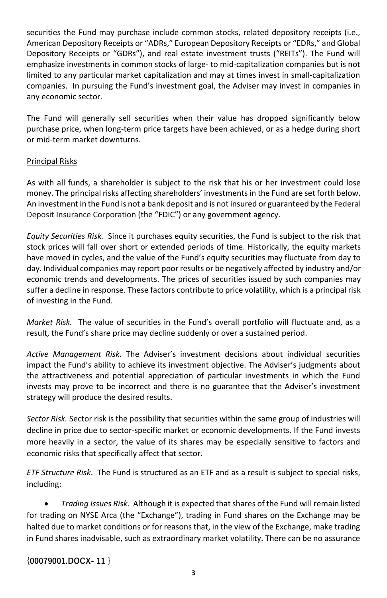securities the Fund may purchase include common stocks, related depository receipts (i.e., American Depository Receipts or "ADRs," European Depository Receipts or "EDRs," and Global Depository Receipts or "GDRs"), and real estate investment trusts ("REITs"). The Fund will emphasize investments in common stocks of large- to mid-capitalization companies but is not limited to any particular market capitalization and may at times invest in small-capitalization companies. In pursuing the Fund's investment goal, the Adviser may invest in companies in any economic sector.

The Fund will generally sell securities when their value has dropped significantly below purchase price, when long-term price targets have been achieved, or as a hedge during short or mid-term market downturns.

#### Principal Risks

As with all funds, a shareholder is subject to the risk that his or her investment could lose money. The principal risks affecting shareholders' investments in the Fund are set forth below. An investment in the Fund is not a bank deposit and is not insured or guaranteed by the Federal Deposit Insurance Corporation (the "FDIC") or any government agency.

*Equity Securities Risk.* Since it purchases equity securities, the Fund is subject to the risk that stock prices will fall over short or extended periods of time. Historically, the equity markets have moved in cycles, and the value of the Fund's equity securities may fluctuate from day to day. Individual companies may report poor results or be negatively affected by industry and/or economic trends and developments. The prices of securities issued by such companies may suffer a decline in response. These factors contribute to price volatility, which is a principal risk of investing in the Fund.

*Market Risk.* The value of securities in the Fund's overall portfolio will fluctuate and, as a result, the Fund's share price may decline suddenly or over a sustained period.

*Active Management Risk.* The Adviser's investment decisions about individual securities impact the Fund's ability to achieve its investment objective. The Adviser's judgments about the attractiveness and potential appreciation of particular investments in which the Fund invests may prove to be incorrect and there is no guarantee that the Adviser's investment strategy will produce the desired results.

*Sector Risk.* Sector risk is the possibility that securities within the same group of industries will decline in price due to sector-specific market or economic developments. If the Fund invests more heavily in a sector, the value of its shares may be especially sensitive to factors and economic risks that specifically affect that sector.

*ETF Structure Risk*. The Fund is structured as an ETF and as a result is subject to special risks, including:

• *Trading Issues Risk*. Although it is expected that shares of the Fund will remain listed for trading on NYSE Arca (the "Exchange"), trading in Fund shares on the Exchange may be halted due to market conditions or for reasons that, in the view of the Exchange, make trading in Fund shares inadvisable, such as extraordinary market volatility. There can be no assurance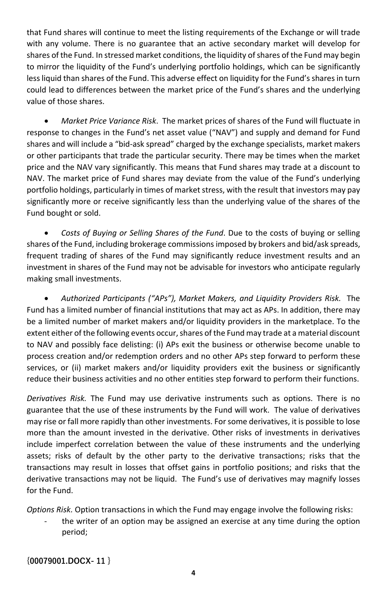that Fund shares will continue to meet the listing requirements of the Exchange or will trade with any volume. There is no guarantee that an active secondary market will develop for shares of the Fund. In stressed market conditions, the liquidity of shares of the Fund may begin to mirror the liquidity of the Fund's underlying portfolio holdings, which can be significantly less liquid than shares of the Fund. This adverse effect on liquidity for the Fund's shares in turn could lead to differences between the market price of the Fund's shares and the underlying value of those shares.

• *Market Price Variance Risk*. The market prices of shares of the Fund will fluctuate in response to changes in the Fund's net asset value ("NAV") and supply and demand for Fund shares and will include a "bid-ask spread" charged by the exchange specialists, market makers or other participants that trade the particular security. There may be times when the market price and the NAV vary significantly. This means that Fund shares may trade at a discount to NAV. The market price of Fund shares may deviate from the value of the Fund's underlying portfolio holdings, particularly in times of market stress, with the result that investors may pay significantly more or receive significantly less than the underlying value of the shares of the Fund bought or sold.

• *Costs of Buying or Selling Shares of the Fund*. Due to the costs of buying or selling shares of the Fund, including brokerage commissions imposed by brokers and bid/ask spreads, frequent trading of shares of the Fund may significantly reduce investment results and an investment in shares of the Fund may not be advisable for investors who anticipate regularly making small investments.

• *Authorized Participants ("APs"), Market Makers, and Liquidity Providers Risk.* The Fund has a limited number of financial institutions that may act as APs. In addition, there may be a limited number of market makers and/or liquidity providers in the marketplace. To the extent either of the following events occur, shares of the Fund may trade at a material discount to NAV and possibly face delisting: (i) APs exit the business or otherwise become unable to process creation and/or redemption orders and no other APs step forward to perform these services, or (ii) market makers and/or liquidity providers exit the business or significantly reduce their business activities and no other entities step forward to perform their functions.

*Derivatives Risk.* The Fund may use derivative instruments such as options. There is no guarantee that the use of these instruments by the Fund will work. The value of derivatives may rise or fall more rapidly than other investments. For some derivatives, it is possible to lose more than the amount invested in the derivative. Other risks of investments in derivatives include imperfect correlation between the value of these instruments and the underlying assets; risks of default by the other party to the derivative transactions; risks that the transactions may result in losses that offset gains in portfolio positions; and risks that the derivative transactions may not be liquid. The Fund's use of derivatives may magnify losses for the Fund.

*Options Risk.* Option transactions in which the Fund may engage involve the following risks:

the writer of an option may be assigned an exercise at any time during the option period;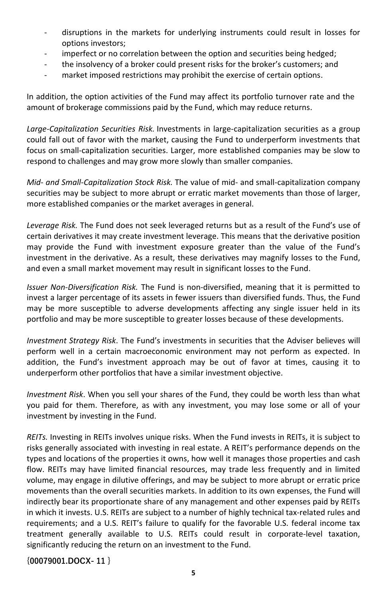- disruptions in the markets for underlying instruments could result in losses for options investors;
- imperfect or no correlation between the option and securities being hedged;
- the insolvency of a broker could present risks for the broker's customers; and
- market imposed restrictions may prohibit the exercise of certain options.

In addition, the option activities of the Fund may affect its portfolio turnover rate and the amount of brokerage commissions paid by the Fund, which may reduce returns.

*Large-Capitalization Securities Risk.* Investments in large-capitalization securities as a group could fall out of favor with the market, causing the Fund to underperform investments that focus on small-capitalization securities. Larger, more established companies may be slow to respond to challenges and may grow more slowly than smaller companies.

*Mid- and Small-Capitalization Stock Risk.* The value of mid- and small-capitalization company securities may be subject to more abrupt or erratic market movements than those of larger, more established companies or the market averages in general.

*Leverage Risk.* The Fund does not seek leveraged returns but as a result of the Fund's use of certain derivatives it may create investment leverage. This means that the derivative position may provide the Fund with investment exposure greater than the value of the Fund's investment in the derivative. As a result, these derivatives may magnify losses to the Fund, and even a small market movement may result in significant losses to the Fund.

*Issuer Non-Diversification Risk.* The Fund is non-diversified, meaning that it is permitted to invest a larger percentage of its assets in fewer issuers than diversified funds. Thus, the Fund may be more susceptible to adverse developments affecting any single issuer held in its portfolio and may be more susceptible to greater losses because of these developments.

*Investment Strategy Risk*. The Fund's investments in securities that the Adviser believes will perform well in a certain macroeconomic environment may not perform as expected. In addition, the Fund's investment approach may be out of favor at times, causing it to underperform other portfolios that have a similar investment objective.

*Investment Risk*. When you sell your shares of the Fund, they could be worth less than what you paid for them. Therefore, as with any investment, you may lose some or all of your investment by investing in the Fund.

*REITs.* Investing in REITs involves unique risks. When the Fund invests in REITs, it is subject to risks generally associated with investing in real estate. A REIT's performance depends on the types and locations of the properties it owns, how well it manages those properties and cash flow. REITs may have limited financial resources, may trade less frequently and in limited volume, may engage in dilutive offerings, and may be subject to more abrupt or erratic price movements than the overall securities markets. In addition to its own expenses, the Fund will indirectly bear its proportionate share of any management and other expenses paid by REITs in which it invests. U.S. REITs are subject to a number of highly technical tax-related rules and requirements; and a U.S. REIT's failure to qualify for the favorable U.S. federal income tax treatment generally available to U.S. REITs could result in corporate-level taxation, significantly reducing the return on an investment to the Fund.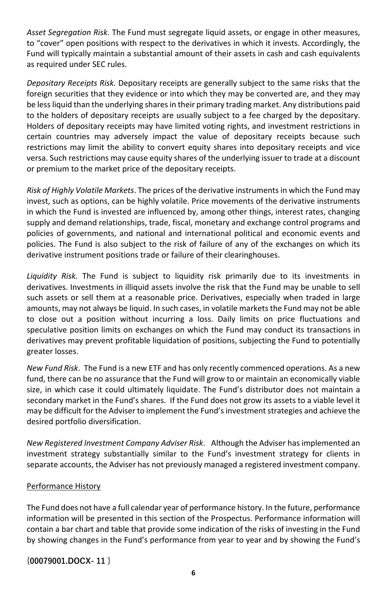*Asset Segregation Risk.* The Fund must segregate liquid assets, or engage in other measures, to "cover" open positions with respect to the derivatives in which it invests. Accordingly, the Fund will typically maintain a substantial amount of their assets in cash and cash equivalents as required under SEC rules.

*Depositary Receipts Risk.* Depositary receipts are generally subject to the same risks that the foreign securities that they evidence or into which they may be converted are, and they may be lessliquid than the underlying shares in their primary trading market. Any distributions paid to the holders of depositary receipts are usually subject to a fee charged by the depositary. Holders of depositary receipts may have limited voting rights, and investment restrictions in certain countries may adversely impact the value of depositary receipts because such restrictions may limit the ability to convert equity shares into depositary receipts and vice versa. Such restrictions may cause equity shares of the underlying issuer to trade at a discount or premium to the market price of the depositary receipts.

*Risk of Highly Volatile Markets*. The prices of the derivative instruments in which the Fund may invest, such as options, can be highly volatile. Price movements of the derivative instruments in which the Fund is invested are influenced by, among other things, interest rates, changing supply and demand relationships, trade, fiscal, monetary and exchange control programs and policies of governments, and national and international political and economic events and policies. The Fund is also subject to the risk of failure of any of the exchanges on which its derivative instrument positions trade or failure of their clearinghouses.

*Liquidity Risk.* The Fund is subject to liquidity risk primarily due to its investments in derivatives. Investments in illiquid assets involve the risk that the Fund may be unable to sell such assets or sell them at a reasonable price. Derivatives, especially when traded in large amounts, may not always be liquid. In such cases, in volatile markets the Fund may not be able to close out a position without incurring a loss. Daily limits on price fluctuations and speculative position limits on exchanges on which the Fund may conduct its transactions in derivatives may prevent profitable liquidation of positions, subjecting the Fund to potentially greater losses.

*New Fund Risk*. The Fund is a new ETF and has only recently commenced operations. As a new fund, there can be no assurance that the Fund will grow to or maintain an economically viable size, in which case it could ultimately liquidate. The Fund's distributor does not maintain a secondary market in the Fund's shares. If the Fund does not grow its assets to a viable level it may be difficult for the Adviser to implement the Fund's investment strategies and achieve the desired portfolio diversification.

*New Registered Investment Company Adviser Risk*. Although the Adviser has implemented an investment strategy substantially similar to the Fund's investment strategy for clients in separate accounts, the Adviser has not previously managed a registered investment company.

#### Performance History

The Fund does not have a full calendar year of performance history. In the future, performance information will be presented in this section of the Prospectus. Performance information will contain a bar chart and table that provide some indication of the risks of investing in the Fund by showing changes in the Fund's performance from year to year and by showing the Fund's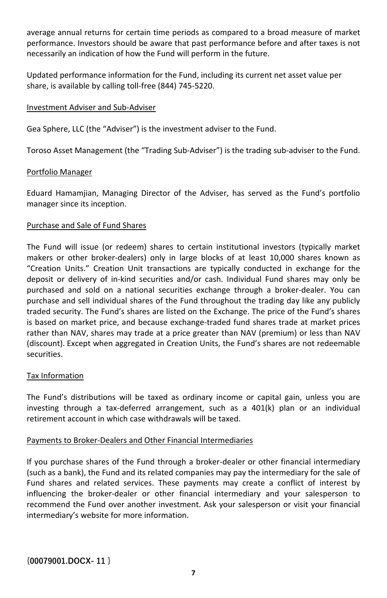average annual returns for certain time periods as compared to a broad measure of market performance. Investors should be aware that past performance before and after taxes is not necessarily an indication of how the Fund will perform in the future.

Updated performance information for the Fund, including its current net asset value per share, is available by calling toll-free (844) 745-5220.

#### Investment Adviser and Sub-Adviser

Gea Sphere, LLC (the "Adviser") is the investment adviser to the Fund.

Toroso Asset Management (the "Trading Sub-Adviser") is the trading sub-adviser to the Fund.

#### Portfolio Manager

Eduard Hamamjian, Managing Director of the Adviser, has served as the Fund's portfolio manager since its inception.

#### Purchase and Sale of Fund Shares

The Fund will issue (or redeem) shares to certain institutional investors (typically market makers or other broker-dealers) only in large blocks of at least 10,000 shares known as "Creation Units." Creation Unit transactions are typically conducted in exchange for the deposit or delivery of in-kind securities and/or cash. Individual Fund shares may only be purchased and sold on a national securities exchange through a broker-dealer. You can purchase and sell individual shares of the Fund throughout the trading day like any publicly traded security. The Fund's shares are listed on the Exchange. The price of the Fund's shares is based on market price, and because exchange-traded fund shares trade at market prices rather than NAV, shares may trade at a price greater than NAV (premium) or less than NAV (discount). Except when aggregated in Creation Units, the Fund's shares are not redeemable securities.

#### Tax Information

The Fund's distributions will be taxed as ordinary income or capital gain, unless you are investing through a tax-deferred arrangement, such as a 401(k) plan or an individual retirement account in which case withdrawals will be taxed.

#### Payments to Broker-Dealers and Other Financial Intermediaries

If you purchase shares of the Fund through a broker-dealer or other financial intermediary (such as a bank), the Fund and its related companies may pay the intermediary for the sale of Fund shares and related services. These payments may create a conflict of interest by influencing the broker-dealer or other financial intermediary and your salesperson to recommend the Fund over another investment. Ask your salesperson or visit your financial intermediary's website for more information.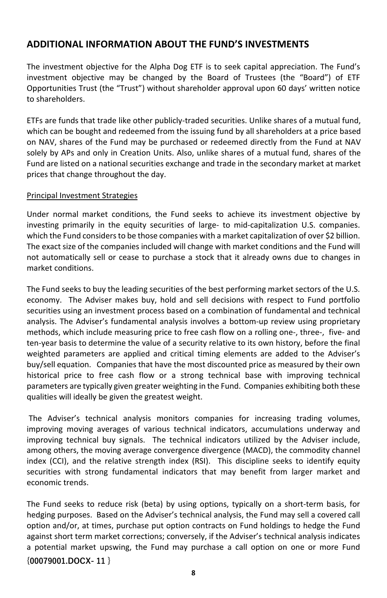## **ADDITIONAL INFORMATION ABOUT THE FUND'S INVESTMENTS**

The investment objective for the Alpha Dog ETF is to seek capital appreciation. The Fund's investment objective may be changed by the Board of Trustees (the "Board") of ETF Opportunities Trust (the "Trust") without shareholder approval upon 60 days' written notice to shareholders.

ETFs are funds that trade like other publicly-traded securities. Unlike shares of a mutual fund, which can be bought and redeemed from the issuing fund by all shareholders at a price based on NAV, shares of the Fund may be purchased or redeemed directly from the Fund at NAV solely by APs and only in Creation Units. Also, unlike shares of a mutual fund, shares of the Fund are listed on a national securities exchange and trade in the secondary market at market prices that change throughout the day.

#### Principal Investment Strategies

Under normal market conditions, the Fund seeks to achieve its investment objective by investing primarily in the equity securities of large- to mid-capitalization U.S. companies. which the Fund considers to be those companies with a market capitalization of over \$2 billion. The exact size of the companies included will change with market conditions and the Fund will not automatically sell or cease to purchase a stock that it already owns due to changes in market conditions.

The Fund seeks to buy the leading securities of the best performing market sectors of the U.S. economy. The Adviser makes buy, hold and sell decisions with respect to Fund portfolio securities using an investment process based on a combination of fundamental and technical analysis. The Adviser's fundamental analysis involves a bottom-up review using proprietary methods, which include measuring price to free cash flow on a rolling one-, three-, five- and ten-year basis to determine the value of a security relative to its own history, before the final weighted parameters are applied and critical timing elements are added to the Adviser's buy/sell equation. Companies that have the most discounted price as measured by their own historical price to free cash flow or a strong technical base with improving technical parameters are typically given greater weighting in the Fund. Companies exhibiting both these qualities will ideally be given the greatest weight.

The Adviser's technical analysis monitors companies for increasing trading volumes, improving moving averages of various technical indicators, accumulations underway and improving technical buy signals. The technical indicators utilized by the Adviser include, among others, the moving average convergence divergence (MACD), the commodity channel index (CCI), and the relative strength index (RSI). This discipline seeks to identify equity securities with strong fundamental indicators that may benefit from larger market and economic trends.

**{00079001.DOCX- 11 }** The Fund seeks to reduce risk (beta) by using options, typically on a short-term basis, for hedging purposes. Based on the Adviser's technical analysis, the Fund may sell a covered call option and/or, at times, purchase put option contracts on Fund holdings to hedge the Fund against short term market corrections; conversely, if the Adviser's technical analysis indicates a potential market upswing, the Fund may purchase a call option on one or more Fund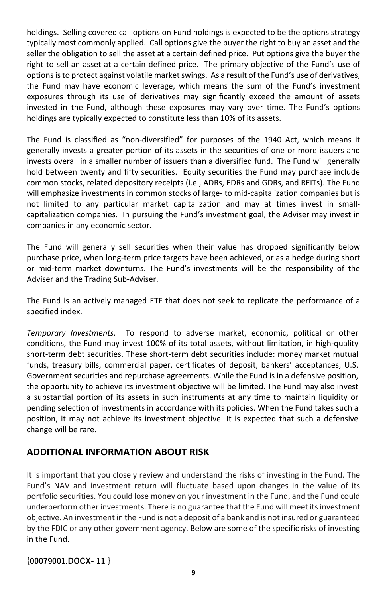holdings. Selling covered call options on Fund holdings is expected to be the options strategy typically most commonly applied. Call options give the buyer the right to buy an asset and the seller the obligation to sell the asset at a certain defined price. Put options give the buyer the right to sell an asset at a certain defined price. The primary objective of the Fund's use of options is to protect against volatile market swings. As a result of the Fund's use of derivatives, the Fund may have economic leverage, which means the sum of the Fund's investment exposures through its use of derivatives may significantly exceed the amount of assets invested in the Fund, although these exposures may vary over time. The Fund's options holdings are typically expected to constitute less than 10% of its assets.

The Fund is classified as "non-diversified" for purposes of the 1940 Act, which means it generally invests a greater portion of its assets in the securities of one or more issuers and invests overall in a smaller number of issuers than a diversified fund. The Fund will generally hold between twenty and fifty securities. Equity securities the Fund may purchase include common stocks, related depository receipts (i.e., ADRs, EDRs and GDRs, and REITs). The Fund will emphasize investments in common stocks of large- to mid-capitalization companies but is not limited to any particular market capitalization and may at times invest in smallcapitalization companies. In pursuing the Fund's investment goal, the Adviser may invest in companies in any economic sector.

The Fund will generally sell securities when their value has dropped significantly below purchase price, when long-term price targets have been achieved, or as a hedge during short or mid-term market downturns. The Fund's investments will be the responsibility of the Adviser and the Trading Sub-Adviser.

The Fund is an actively managed ETF that does not seek to replicate the performance of a specified index.

*Temporary Investments.* To respond to adverse market, economic, political or other conditions, the Fund may invest 100% of its total assets, without limitation, in high-quality short-term debt securities. These short-term debt securities include: money market mutual funds, treasury bills, commercial paper, certificates of deposit, bankers' acceptances, U.S. Government securities and repurchase agreements. While the Fund is in a defensive position, the opportunity to achieve its investment objective will be limited. The Fund may also invest a substantial portion of its assets in such instruments at any time to maintain liquidity or pending selection of investments in accordance with its policies. When the Fund takes such a position, it may not achieve its investment objective. It is expected that such a defensive change will be rare.

## **ADDITIONAL INFORMATION ABOUT RISK**

It is important that you closely review and understand the risks of investing in the Fund. The Fund's NAV and investment return will fluctuate based upon changes in the value of its portfolio securities. You could lose money on your investment in the Fund, and the Fund could underperform other investments. There is no guarantee that the Fund will meet its investment objective. An investment in the Fund is not a deposit of a bank and is not insured or guaranteed by the FDIC or any other government agency. Below are some of the specific risks of investing in the Fund.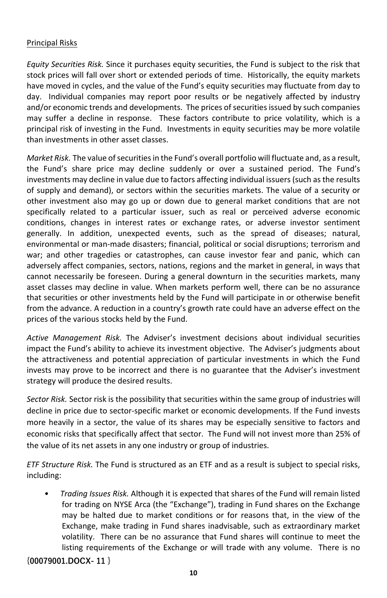#### Principal Risks

*Equity Securities Risk.* Since it purchases equity securities, the Fund is subject to the risk that stock prices will fall over short or extended periods of time. Historically, the equity markets have moved in cycles, and the value of the Fund's equity securities may fluctuate from day to day. Individual companies may report poor results or be negatively affected by industry and/or economic trends and developments. The prices of securities issued by such companies may suffer a decline in response. These factors contribute to price volatility, which is a principal risk of investing in the Fund. Investments in equity securities may be more volatile than investments in other asset classes.

*Market Risk.* The value of securities in the Fund's overall portfolio will fluctuate and, as a result, the Fund's share price may decline suddenly or over a sustained period. The Fund's investments may decline in value due to factors affecting individual issuers (such as the results of supply and demand), or sectors within the securities markets. The value of a security or other investment also may go up or down due to general market conditions that are not specifically related to a particular issuer, such as real or perceived adverse economic conditions, changes in interest rates or exchange rates, or adverse investor sentiment generally. In addition, unexpected events, such as the spread of diseases; natural, environmental or man-made disasters; financial, political or social disruptions; terrorism and war; and other tragedies or catastrophes, can cause investor fear and panic, which can adversely affect companies, sectors, nations, regions and the market in general, in ways that cannot necessarily be foreseen. During a general downturn in the securities markets, many asset classes may decline in value. When markets perform well, there can be no assurance that securities or other investments held by the Fund will participate in or otherwise benefit from the advance. A reduction in a country's growth rate could have an adverse effect on the prices of the various stocks held by the Fund.

*Active Management Risk.* The Adviser's investment decisions about individual securities impact the Fund's ability to achieve its investment objective. The Adviser's judgments about the attractiveness and potential appreciation of particular investments in which the Fund invests may prove to be incorrect and there is no guarantee that the Adviser's investment strategy will produce the desired results.

*Sector Risk.* Sector risk is the possibility that securities within the same group of industries will decline in price due to sector-specific market or economic developments. If the Fund invests more heavily in a sector, the value of its shares may be especially sensitive to factors and economic risks that specifically affect that sector. The Fund will not invest more than 25% of the value of its net assets in any one industry or group of industries.

*ETF Structure Risk.* The Fund is structured as an ETF and as a result is subject to special risks, including:

*• Trading Issues Risk.* Although it is expected that shares of the Fund will remain listed for trading on NYSE Arca (the "Exchange"), trading in Fund shares on the Exchange may be halted due to market conditions or for reasons that, in the view of the Exchange, make trading in Fund shares inadvisable, such as extraordinary market volatility. There can be no assurance that Fund shares will continue to meet the listing requirements of the Exchange or will trade with any volume. There is no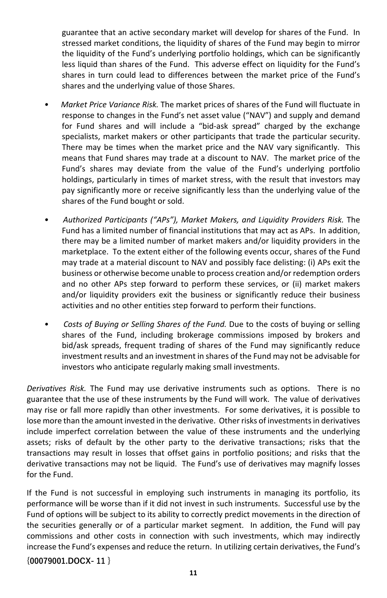guarantee that an active secondary market will develop for shares of the Fund. In stressed market conditions, the liquidity of shares of the Fund may begin to mirror the liquidity of the Fund's underlying portfolio holdings, which can be significantly less liquid than shares of the Fund. This adverse effect on liquidity for the Fund's shares in turn could lead to differences between the market price of the Fund's shares and the underlying value of those Shares.

- *Market Price Variance Risk.* The market prices of shares of the Fund will fluctuate in response to changes in the Fund's net asset value ("NAV") and supply and demand for Fund shares and will include a "bid-ask spread" charged by the exchange specialists, market makers or other participants that trade the particular security. There may be times when the market price and the NAV vary significantly. This means that Fund shares may trade at a discount to NAV. The market price of the Fund's shares may deviate from the value of the Fund's underlying portfolio holdings, particularly in times of market stress, with the result that investors may pay significantly more or receive significantly less than the underlying value of the shares of the Fund bought or sold.
- *Authorized Participants ("APs"), Market Makers, and Liquidity Providers Risk.* The Fund has a limited number of financial institutions that may act as APs. In addition, there may be a limited number of market makers and/or liquidity providers in the marketplace. To the extent either of the following events occur, shares of the Fund may trade at a material discount to NAV and possibly face delisting: (i) APs exit the business or otherwise become unable to process creation and/or redemption orders and no other APs step forward to perform these services, or (ii) market makers and/or liquidity providers exit the business or significantly reduce their business activities and no other entities step forward to perform their functions.
- *Costs of Buying or Selling Shares of the Fund.* Due to the costs of buying or selling shares of the Fund, including brokerage commissions imposed by brokers and bid/ask spreads, frequent trading of shares of the Fund may significantly reduce investment results and an investment in shares of the Fund may not be advisable for investors who anticipate regularly making small investments.

*Derivatives Risk.* The Fund may use derivative instruments such as options. There is no guarantee that the use of these instruments by the Fund will work. The value of derivatives may rise or fall more rapidly than other investments. For some derivatives, it is possible to lose more than the amount invested in the derivative. Other risks of investments in derivatives include imperfect correlation between the value of these instruments and the underlying assets; risks of default by the other party to the derivative transactions; risks that the transactions may result in losses that offset gains in portfolio positions; and risks that the derivative transactions may not be liquid. The Fund's use of derivatives may magnify losses for the Fund.

If the Fund is not successful in employing such instruments in managing its portfolio, its performance will be worse than if it did not invest in such instruments. Successful use by the Fund of options will be subject to its ability to correctly predict movements in the direction of the securities generally or of a particular market segment. In addition, the Fund will pay commissions and other costs in connection with such investments, which may indirectly increase the Fund's expenses and reduce the return. In utilizing certain derivatives, the Fund's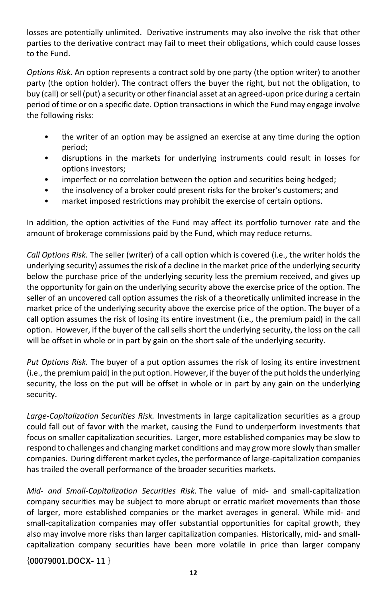losses are potentially unlimited. Derivative instruments may also involve the risk that other parties to the derivative contract may fail to meet their obligations, which could cause losses to the Fund.

*Options Risk.* An option represents a contract sold by one party (the option writer) to another party (the option holder). The contract offers the buyer the right, but not the obligation, to buy (call) or sell (put) a security or other financial asset at an agreed-upon price during a certain period of time or on a specific date. Option transactions in which the Fund may engage involve the following risks:

- the writer of an option may be assigned an exercise at any time during the option period;
- disruptions in the markets for underlying instruments could result in losses for options investors;
- imperfect or no correlation between the option and securities being hedged;
- the insolvency of a broker could present risks for the broker's customers; and
- market imposed restrictions may prohibit the exercise of certain options.

In addition, the option activities of the Fund may affect its portfolio turnover rate and the amount of brokerage commissions paid by the Fund, which may reduce returns.

*Call Options Risk.* The seller (writer) of a call option which is covered (i.e., the writer holds the underlying security) assumes the risk of a decline in the market price of the underlying security below the purchase price of the underlying security less the premium received, and gives up the opportunity for gain on the underlying security above the exercise price of the option. The seller of an uncovered call option assumes the risk of a theoretically unlimited increase in the market price of the underlying security above the exercise price of the option. The buyer of a call option assumes the risk of losing its entire investment (i.e., the premium paid) in the call option. However, if the buyer of the call sells short the underlying security, the loss on the call will be offset in whole or in part by gain on the short sale of the underlying security.

*Put Options Risk.* The buyer of a put option assumes the risk of losing its entire investment (i.e., the premium paid) in the put option. However, if the buyer of the put holds the underlying security, the loss on the put will be offset in whole or in part by any gain on the underlying security.

*Large-Capitalization Securities Risk.* Investments in large capitalization securities as a group could fall out of favor with the market, causing the Fund to underperform investments that focus on smaller capitalization securities. Larger, more established companies may be slow to respond to challenges and changing market conditions and may grow more slowly than smaller companies. During different market cycles, the performance of large-capitalization companies has trailed the overall performance of the broader securities markets.

*Mid- and Small-Capitalization Securities Risk.* The value of mid- and small-capitalization company securities may be subject to more abrupt or erratic market movements than those of larger, more established companies or the market averages in general. While mid- and small-capitalization companies may offer substantial opportunities for capital growth, they also may involve more risks than larger capitalization companies. Historically, mid- and smallcapitalization company securities have been more volatile in price than larger company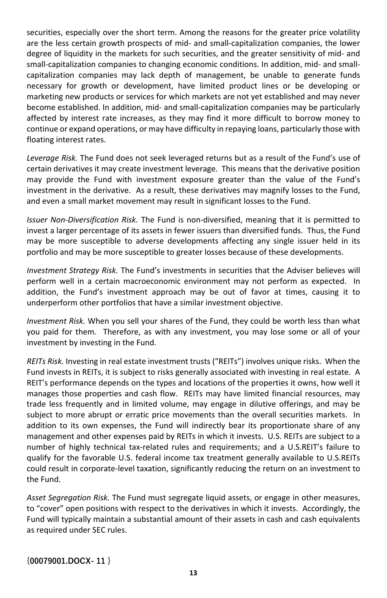securities, especially over the short term. Among the reasons for the greater price volatility are the less certain growth prospects of mid- and small-capitalization companies, the lower degree of liquidity in the markets for such securities, and the greater sensitivity of mid- and small-capitalization companies to changing economic conditions. In addition, mid- and smallcapitalization companies may lack depth of management, be unable to generate funds necessary for growth or development, have limited product lines or be developing or marketing new products or services for which markets are not yet established and may never become established. In addition, mid- and small-capitalization companies may be particularly affected by interest rate increases, as they may find it more difficult to borrow money to continue or expand operations, or may have difficulty in repaying loans, particularly those with floating interest rates.

*Leverage Risk.* The Fund does not seek leveraged returns but as a result of the Fund's use of certain derivatives it may create investment leverage. This means that the derivative position may provide the Fund with investment exposure greater than the value of the Fund's investment in the derivative. As a result, these derivatives may magnify losses to the Fund, and even a small market movement may result in significant losses to the Fund.

*Issuer Non-Diversification Risk.* The Fund is non-diversified, meaning that it is permitted to invest a larger percentage of its assets in fewer issuers than diversified funds. Thus, the Fund may be more susceptible to adverse developments affecting any single issuer held in its portfolio and may be more susceptible to greater losses because of these developments.

*Investment Strategy Risk.* The Fund's investments in securities that the Adviser believes will perform well in a certain macroeconomic environment may not perform as expected. In addition, the Fund's investment approach may be out of favor at times, causing it to underperform other portfolios that have a similar investment objective.

*Investment Risk.* When you sell your shares of the Fund, they could be worth less than what you paid for them. Therefore, as with any investment, you may lose some or all of your investment by investing in the Fund.

*REITs Risk.* Investing in real estate investment trusts ("REITs") involves unique risks. When the Fund invests in REITs, it is subject to risks generally associated with investing in real estate. A REIT's performance depends on the types and locations of the properties it owns, how well it manages those properties and cash flow. REITs may have limited financial resources, may trade less frequently and in limited volume, may engage in dilutive offerings, and may be subject to more abrupt or erratic price movements than the overall securities markets. In addition to its own expenses, the Fund will indirectly bear its proportionate share of any management and other expenses paid by REITs in which it invests. U.S. REITs are subject to a number of highly technical tax-related rules and requirements; and a U.S.REIT's failure to qualify for the favorable U.S. federal income tax treatment generally available to U.S.REITs could result in corporate-level taxation, significantly reducing the return on an investment to the Fund.

*Asset Segregation Risk.* The Fund must segregate liquid assets, or engage in other measures, to "cover" open positions with respect to the derivatives in which it invests. Accordingly, the Fund will typically maintain a substantial amount of their assets in cash and cash equivalents as required under SEC rules.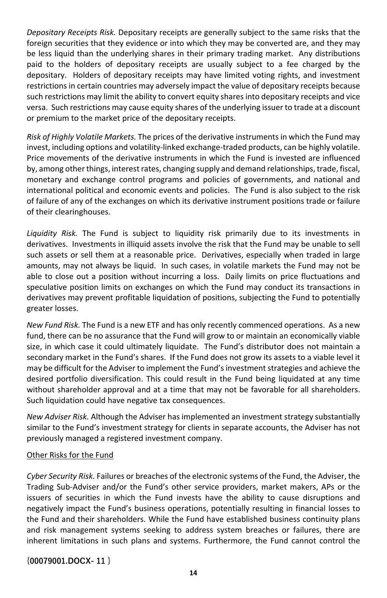*Depositary Receipts Risk.* Depositary receipts are generally subject to the same risks that the foreign securities that they evidence or into which they may be converted are, and they may be less liquid than the underlying shares in their primary trading market. Any distributions paid to the holders of depositary receipts are usually subject to a fee charged by the depositary. Holders of depositary receipts may have limited voting rights, and investment restrictions in certain countries may adversely impact the value of depositary receipts because such restrictions may limit the ability to convert equity shares into depositary receipts and vice versa. Such restrictions may cause equity shares of the underlying issuer to trade at a discount or premium to the market price of the depositary receipts.

*Risk of Highly Volatile Markets.* The prices of the derivative instruments in which the Fund may invest, including options and volatility-linked exchange-traded products, can be highly volatile. Price movements of the derivative instruments in which the Fund is invested are influenced by, among other things, interest rates, changing supply and demand relationships, trade, fiscal, monetary and exchange control programs and policies of governments, and national and international political and economic events and policies. The Fund is also subject to the risk of failure of any of the exchanges on which its derivative instrument positions trade or failure of their clearinghouses.

*Liquidity Risk.* The Fund is subject to liquidity risk primarily due to its investments in derivatives. Investments in illiquid assets involve the risk that the Fund may be unable to sell such assets or sell them at a reasonable price. Derivatives, especially when traded in large amounts, may not always be liquid. In such cases, in volatile markets the Fund may not be able to close out a position without incurring a loss. Daily limits on price fluctuations and speculative position limits on exchanges on which the Fund may conduct its transactions in derivatives may prevent profitable liquidation of positions, subjecting the Fund to potentially greater losses.

*New Fund Risk.* The Fund is a new ETF and has only recently commenced operations. As a new fund, there can be no assurance that the Fund will grow to or maintain an economically viable size, in which case it could ultimately liquidate. The Fund's distributor does not maintain a secondary market in the Fund's shares. If the Fund does not grow its assets to a viable level it may be difficult for the Adviser to implement the Fund's investment strategies and achieve the desired portfolio diversification. This could result in the Fund being liquidated at any time without shareholder approval and at a time that may not be favorable for all shareholders. Such liquidation could have negative tax consequences.

*New Adviser Risk.* Although the Adviser has implemented an investment strategy substantially similar to the Fund's investment strategy for clients in separate accounts, the Adviser has not previously managed a registered investment company.

#### Other Risks for the Fund

*Cyber Security Risk.* Failures or breaches of the electronic systems of the Fund, the Adviser, the Trading Sub-Adviser and/or the Fund's other service providers, market makers, APs or the issuers of securities in which the Fund invests have the ability to cause disruptions and negatively impact the Fund's business operations, potentially resulting in financial losses to the Fund and their shareholders. While the Fund have established business continuity plans and risk management systems seeking to address system breaches or failures, there are inherent limitations in such plans and systems. Furthermore, the Fund cannot control the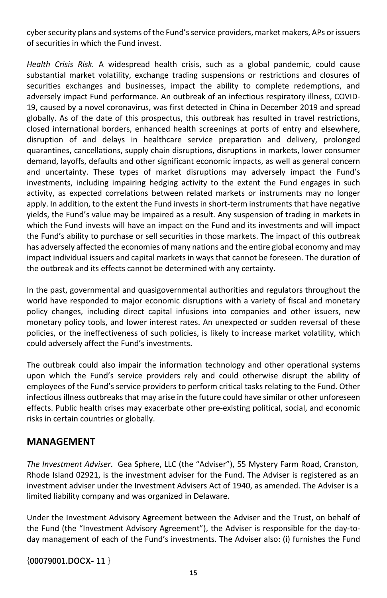cyber security plans and systems of the Fund's service providers, market makers, APs or issuers of securities in which the Fund invest.

*Health Crisis Risk.* A widespread health crisis, such as a global pandemic, could cause substantial market volatility, exchange trading suspensions or restrictions and closures of securities exchanges and businesses, impact the ability to complete redemptions, and adversely impact Fund performance. An outbreak of an infectious respiratory illness, COVID-19, caused by a novel coronavirus, was first detected in China in December 2019 and spread globally. As of the date of this prospectus, this outbreak has resulted in travel restrictions, closed international borders, enhanced health screenings at ports of entry and elsewhere, disruption of and delays in healthcare service preparation and delivery, prolonged quarantines, cancellations, supply chain disruptions, disruptions in markets, lower consumer demand, layoffs, defaults and other significant economic impacts, as well as general concern and uncertainty. These types of market disruptions may adversely impact the Fund's investments, including impairing hedging activity to the extent the Fund engages in such activity, as expected correlations between related markets or instruments may no longer apply. In addition, to the extent the Fund invests in short-term instruments that have negative yields, the Fund's value may be impaired as a result. Any suspension of trading in markets in which the Fund invests will have an impact on the Fund and its investments and will impact the Fund's ability to purchase or sell securities in those markets. The impact of this outbreak has adversely affected the economies of many nations and the entire global economy and may impact individual issuers and capital markets in ways that cannot be foreseen. The duration of the outbreak and its effects cannot be determined with any certainty.

In the past, governmental and quasigovernmental authorities and regulators throughout the world have responded to major economic disruptions with a variety of fiscal and monetary policy changes, including direct capital infusions into companies and other issuers, new monetary policy tools, and lower interest rates. An unexpected or sudden reversal of these policies, or the ineffectiveness of such policies, is likely to increase market volatility, which could adversely affect the Fund's investments.

The outbreak could also impair the information technology and other operational systems upon which the Fund's service providers rely and could otherwise disrupt the ability of employees of the Fund's service providers to perform critical tasks relating to the Fund. Other infectious illness outbreaks that may arise in the future could have similar or other unforeseen effects. Public health crises may exacerbate other pre-existing political, social, and economic risks in certain countries or globally.

### **MANAGEMENT**

*The Investment Adviser*. Gea Sphere, LLC (the "Adviser"), 55 Mystery Farm Road, Cranston, Rhode Island 02921, is the investment adviser for the Fund. The Adviser is registered as an investment adviser under the Investment Advisers Act of 1940, as amended. The Adviser is a limited liability company and was organized in Delaware.

Under the Investment Advisory Agreement between the Adviser and the Trust, on behalf of the Fund (the "Investment Advisory Agreement"), the Adviser is responsible for the day-today management of each of the Fund's investments. The Adviser also: (i) furnishes the Fund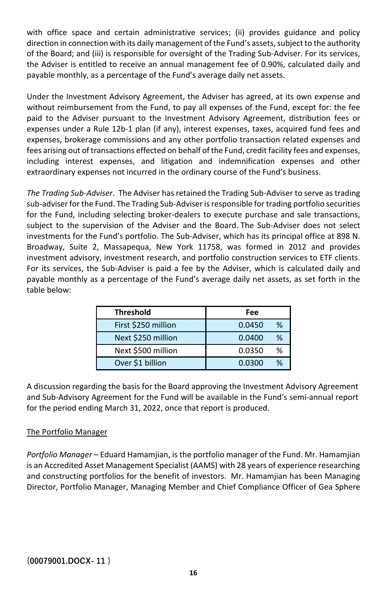with office space and certain administrative services; (ii) provides guidance and policy direction in connection with its daily management of the Fund's assets, subject to the authority of the Board; and (iii) is responsible for oversight of the Trading Sub-Adviser. For its services, the Adviser is entitled to receive an annual management fee of 0.90%, calculated daily and payable monthly, as a percentage of the Fund's average daily net assets.

Under the Investment Advisory Agreement, the Adviser has agreed, at its own expense and without reimbursement from the Fund, to pay all expenses of the Fund, except for: the fee paid to the Adviser pursuant to the Investment Advisory Agreement, distribution fees or expenses under a Rule 12b-1 plan (if any), interest expenses, taxes, acquired fund fees and expenses, brokerage commissions and any other portfolio transaction related expenses and fees arising out of transactions effected on behalf of the Fund, credit facility fees and expenses, including interest expenses, and litigation and indemnification expenses and other extraordinary expenses not incurred in the ordinary course of the Fund's business.

*The Trading Sub-Adviser*. The Adviser has retained the Trading Sub-Adviser to serve as trading sub-adviser for the Fund. The Trading Sub-Adviser is responsible for trading portfolio securities for the Fund, including selecting broker-dealers to execute purchase and sale transactions, subject to the supervision of the Adviser and the Board. The Sub-Adviser does not select investments for the Fund's portfolio. The Sub-Adviser, which has its principal office at 898 N. Broadway, Suite 2, Massapequa, New York 11758, was formed in 2012 and provides investment advisory, investment research, and portfolio construction services to ETF clients. For its services, the Sub-Adviser is paid a fee by the Adviser, which is calculated daily and payable monthly as a percentage of the Fund's average daily net assets, as set forth in the table below:

| <b>Threshold</b>    | Fee         |
|---------------------|-------------|
| First \$250 million | %<br>0.0450 |
| Next \$250 million  | %<br>0.0400 |
| Next \$500 million  | %<br>0.0350 |
| Over \$1 billion    | %<br>0.0300 |

A discussion regarding the basis for the Board approving the Investment Advisory Agreement and Sub-Advisory Agreement for the Fund will be available in the Fund's semi-annual report for the period ending March 31, 2022, once that report is produced.

#### The Portfolio Manager

*Portfolio Manager* – Eduard Hamamjian, is the portfolio manager of the Fund. Mr. Hamamjian is an Accredited Asset Management Specialist (AAMS) with 28 years of experience researching and constructing portfolios for the benefit of investors. Mr. Hamamjian has been Managing Director, Portfolio Manager, Managing Member and Chief Compliance Officer of Gea Sphere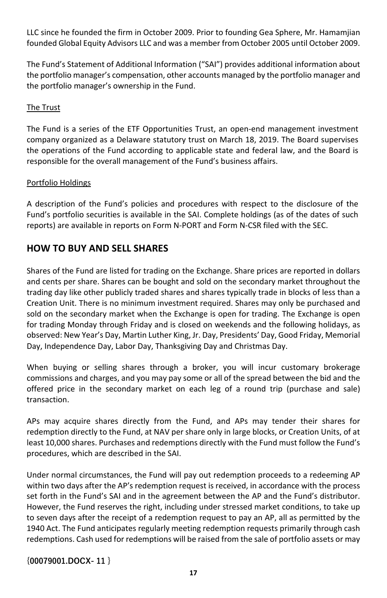LLC since he founded the firm in October 2009. Prior to founding Gea Sphere, Mr. Hamamjian founded Global Equity Advisors LLC and was a member from October 2005 until October 2009.

The Fund's Statement of Additional Information ("SAI") provides additional information about the portfolio manager's compensation, other accounts managed by the portfolio manager and the portfolio manager's ownership in the Fund.

#### The Trust

The Fund is a series of the ETF Opportunities Trust, an open-end management investment company organized as a Delaware statutory trust on March 18, 2019. The Board supervises the operations of the Fund according to applicable state and federal law, and the Board is responsible for the overall management of the Fund's business affairs.

#### Portfolio Holdings

A description of the Fund's policies and procedures with respect to the disclosure of the Fund's portfolio securities is available in the SAI. Complete holdings (as of the dates of such reports) are available in reports on Form N-PORT and Form N-CSR filed with the SEC.

## **HOW TO BUY AND SELL SHARES**

Shares of the Fund are listed for trading on the Exchange. Share prices are reported in dollars and cents per share. Shares can be bought and sold on the secondary market throughout the trading day like other publicly traded shares and shares typically trade in blocks of less than a Creation Unit. There is no minimum investment required. Shares may only be purchased and sold on the secondary market when the Exchange is open for trading. The Exchange is open for trading Monday through Friday and is closed on weekends and the following holidays, as observed: New Year's Day, Martin Luther King, Jr. Day, Presidents' Day, Good Friday, Memorial Day, Independence Day, Labor Day, Thanksgiving Day and Christmas Day.

When buying or selling shares through a broker, you will incur customary brokerage commissions and charges, and you may pay some or all of the spread between the bid and the offered price in the secondary market on each leg of a round trip (purchase and sale) transaction.

APs may acquire shares directly from the Fund, and APs may tender their shares for redemption directly to the Fund, at NAV per share only in large blocks, or Creation Units, of at least 10,000 shares. Purchases and redemptions directly with the Fund must follow the Fund's procedures, which are described in the SAI.

Under normal circumstances, the Fund will pay out redemption proceeds to a redeeming AP within two days after the AP's redemption request is received, in accordance with the process set forth in the Fund's SAI and in the agreement between the AP and the Fund's distributor. However, the Fund reserves the right, including under stressed market conditions, to take up to seven days after the receipt of a redemption request to pay an AP, all as permitted by the 1940 Act. The Fund anticipates regularly meeting redemption requests primarily through cash redemptions. Cash used for redemptions will be raised from the sale of portfolio assets or may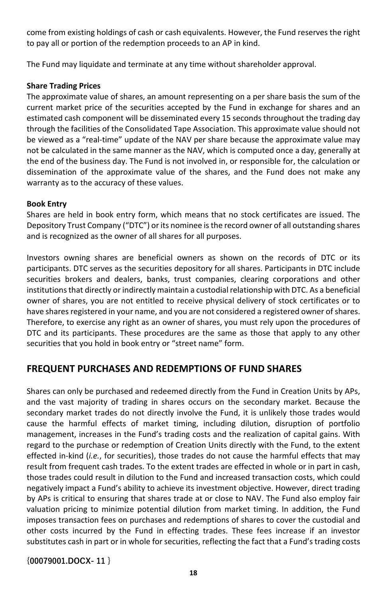come from existing holdings of cash or cash equivalents. However, the Fund reserves the right to pay all or portion of the redemption proceeds to an AP in kind.

The Fund may liquidate and terminate at any time without shareholder approval.

#### **Share Trading Prices**

The approximate value of shares, an amount representing on a per share basis the sum of the current market price of the securities accepted by the Fund in exchange for shares and an estimated cash component will be disseminated every 15 seconds throughout the trading day through the facilities of the Consolidated Tape Association. This approximate value should not be viewed as a "real-time" update of the NAV per share because the approximate value may not be calculated in the same manner as the NAV, which is computed once a day, generally at the end of the business day. The Fund is not involved in, or responsible for, the calculation or dissemination of the approximate value of the shares, and the Fund does not make any warranty as to the accuracy of these values.

#### **Book Entry**

Shares are held in book entry form, which means that no stock certificates are issued. The Depository Trust Company ("DTC") or its nominee is the record owner of all outstanding shares and is recognized as the owner of all shares for all purposes.

Investors owning shares are beneficial owners as shown on the records of DTC or its participants. DTC serves as the securities depository for all shares. Participants in DTC include securities brokers and dealers, banks, trust companies, clearing corporations and other institutions that directly or indirectly maintain a custodial relationship with DTC. As a beneficial owner of shares, you are not entitled to receive physical delivery of stock certificates or to have shares registered in your name, and you are not considered a registered owner of shares. Therefore, to exercise any right as an owner of shares, you must rely upon the procedures of DTC and its participants. These procedures are the same as those that apply to any other securities that you hold in book entry or "street name" form.

## **FREQUENT PURCHASES AND REDEMPTIONS OF FUND SHARES**

Shares can only be purchased and redeemed directly from the Fund in Creation Units by APs, and the vast majority of trading in shares occurs on the secondary market. Because the secondary market trades do not directly involve the Fund, it is unlikely those trades would cause the harmful effects of market timing, including dilution, disruption of portfolio management, increases in the Fund's trading costs and the realization of capital gains. With regard to the purchase or redemption of Creation Units directly with the Fund, to the extent effected in-kind (*i.e.*, for securities), those trades do not cause the harmful effects that may result from frequent cash trades. To the extent trades are effected in whole or in part in cash, those trades could result in dilution to the Fund and increased transaction costs, which could negatively impact a Fund's ability to achieve its investment objective. However, direct trading by APs is critical to ensuring that shares trade at or close to NAV. The Fund also employ fair valuation pricing to minimize potential dilution from market timing. In addition, the Fund imposes transaction fees on purchases and redemptions of shares to cover the custodial and other costs incurred by the Fund in effecting trades. These fees increase if an investor substitutes cash in part or in whole for securities, reflecting the fact that a Fund's trading costs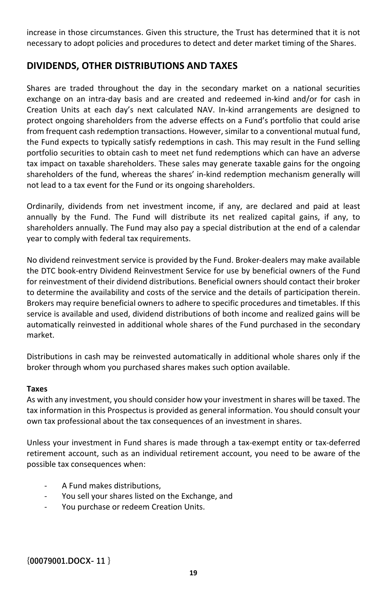increase in those circumstances. Given this structure, the Trust has determined that it is not necessary to adopt policies and procedures to detect and deter market timing of the Shares.

## **DIVIDENDS, OTHER DISTRIBUTIONS AND TAXES**

Shares are traded throughout the day in the secondary market on a national securities exchange on an intra-day basis and are created and redeemed in-kind and/or for cash in Creation Units at each day's next calculated NAV. In-kind arrangements are designed to protect ongoing shareholders from the adverse effects on a Fund's portfolio that could arise from frequent cash redemption transactions. However, similar to a conventional mutual fund, the Fund expects to typically satisfy redemptions in cash. This may result in the Fund selling portfolio securities to obtain cash to meet net fund redemptions which can have an adverse tax impact on taxable shareholders. These sales may generate taxable gains for the ongoing shareholders of the fund, whereas the shares' in-kind redemption mechanism generally will not lead to a tax event for the Fund or its ongoing shareholders.

Ordinarily, dividends from net investment income, if any, are declared and paid at least annually by the Fund. The Fund will distribute its net realized capital gains, if any, to shareholders annually. The Fund may also pay a special distribution at the end of a calendar year to comply with federal tax requirements.

No dividend reinvestment service is provided by the Fund. Broker-dealers may make available the DTC book-entry Dividend Reinvestment Service for use by beneficial owners of the Fund for reinvestment of their dividend distributions. Beneficial owners should contact their broker to determine the availability and costs of the service and the details of participation therein. Brokers may require beneficial owners to adhere to specific procedures and timetables. If this service is available and used, dividend distributions of both income and realized gains will be automatically reinvested in additional whole shares of the Fund purchased in the secondary market.

Distributions in cash may be reinvested automatically in additional whole shares only if the broker through whom you purchased shares makes such option available.

#### **Taxes**

As with any investment, you should consider how your investment in shares will be taxed. The tax information in this Prospectus is provided as general information. You should consult your own tax professional about the tax consequences of an investment in shares.

Unless your investment in Fund shares is made through a tax-exempt entity or tax-deferred retirement account, such as an individual retirement account, you need to be aware of the possible tax consequences when:

- A Fund makes distributions,
- You sell your shares listed on the Exchange, and
- You purchase or redeem Creation Units.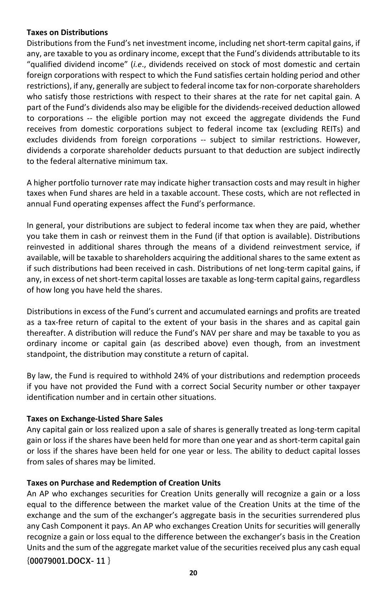#### **Taxes on Distributions**

Distributions from the Fund's net investment income, including net short-term capital gains, if any, are taxable to you as ordinary income, except that the Fund's dividends attributable to its "qualified dividend income" (*i.e*., dividends received on stock of most domestic and certain foreign corporations with respect to which the Fund satisfies certain holding period and other restrictions), if any, generally are subject to federal income tax for non-corporate shareholders who satisfy those restrictions with respect to their shares at the rate for net capital gain. A part of the Fund's dividends also may be eligible for the dividends-received deduction allowed to corporations -- the eligible portion may not exceed the aggregate dividends the Fund receives from domestic corporations subject to federal income tax (excluding REITs) and excludes dividends from foreign corporations -- subject to similar restrictions. However, dividends a corporate shareholder deducts pursuant to that deduction are subject indirectly to the federal alternative minimum tax.

A higher portfolio turnover rate may indicate higher transaction costs and may result in higher taxes when Fund shares are held in a taxable account. These costs, which are not reflected in annual Fund operating expenses affect the Fund's performance.

In general, your distributions are subject to federal income tax when they are paid, whether you take them in cash or reinvest them in the Fund (if that option is available). Distributions reinvested in additional shares through the means of a dividend reinvestment service, if available, will be taxable to shareholders acquiring the additional shares to the same extent as if such distributions had been received in cash. Distributions of net long-term capital gains, if any, in excess of net short-term capital losses are taxable as long-term capital gains, regardless of how long you have held the shares.

Distributions in excess of the Fund's current and accumulated earnings and profits are treated as a tax-free return of capital to the extent of your basis in the shares and as capital gain thereafter. A distribution will reduce the Fund's NAV per share and may be taxable to you as ordinary income or capital gain (as described above) even though, from an investment standpoint, the distribution may constitute a return of capital.

By law, the Fund is required to withhold 24% of your distributions and redemption proceeds if you have not provided the Fund with a correct Social Security number or other taxpayer identification number and in certain other situations.

#### **Taxes on Exchange-Listed Share Sales**

Any capital gain or loss realized upon a sale of shares is generally treated as long-term capital gain or loss if the shares have been held for more than one year and as short-term capital gain or loss if the shares have been held for one year or less. The ability to deduct capital losses from sales of shares may be limited.

#### **Taxes on Purchase and Redemption of Creation Units**

An AP who exchanges securities for Creation Units generally will recognize a gain or a loss equal to the difference between the market value of the Creation Units at the time of the exchange and the sum of the exchanger's aggregate basis in the securities surrendered plus any Cash Component it pays. An AP who exchanges Creation Units for securities will generally recognize a gain or loss equal to the difference between the exchanger's basis in the Creation Units and the sum of the aggregate market value of the securities received plus any cash equal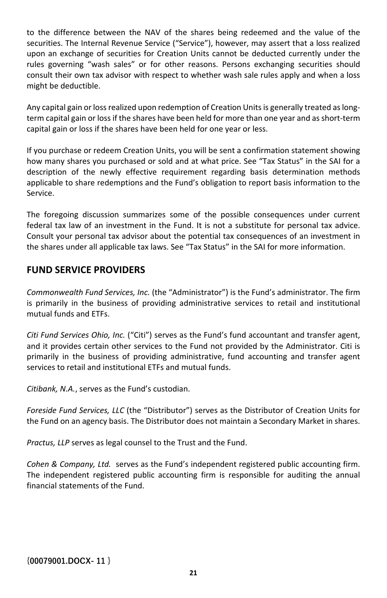to the difference between the NAV of the shares being redeemed and the value of the securities. The Internal Revenue Service ("Service"), however, may assert that a loss realized upon an exchange of securities for Creation Units cannot be deducted currently under the rules governing "wash sales" or for other reasons. Persons exchanging securities should consult their own tax advisor with respect to whether wash sale rules apply and when a loss might be deductible.

Any capital gain or loss realized upon redemption of Creation Units is generally treated as longterm capital gain or loss if the shares have been held for more than one year and as short-term capital gain or loss if the shares have been held for one year or less.

If you purchase or redeem Creation Units, you will be sent a confirmation statement showing how many shares you purchased or sold and at what price. See "Tax Status" in the SAI for a description of the newly effective requirement regarding basis determination methods applicable to share redemptions and the Fund's obligation to report basis information to the Service.

The foregoing discussion summarizes some of the possible consequences under current federal tax law of an investment in the Fund. It is not a substitute for personal tax advice. Consult your personal tax advisor about the potential tax consequences of an investment in the shares under all applicable tax laws. See "Tax Status" in the SAI for more information.

## **FUND SERVICE PROVIDERS**

*Commonwealth Fund Services, Inc.* (the "Administrator") is the Fund's administrator. The firm is primarily in the business of providing administrative services to retail and institutional mutual funds and ETFs.

*Citi Fund Services Ohio, Inc.* ("Citi") serves as the Fund's fund accountant and transfer agent, and it provides certain other services to the Fund not provided by the Administrator. Citi is primarily in the business of providing administrative, fund accounting and transfer agent services to retail and institutional ETFs and mutual funds.

*Citibank, N.A.*, serves as the Fund's custodian.

*Foreside Fund Services, LLC* (the "Distributor") serves as the Distributor of Creation Units for the Fund on an agency basis. The Distributor does not maintain a Secondary Market in shares.

*Practus, LLP* serves as legal counsel to the Trust and the Fund.

*Cohen & Company, Ltd.* serves as the Fund's independent registered public accounting firm. The independent registered public accounting firm is responsible for auditing the annual financial statements of the Fund.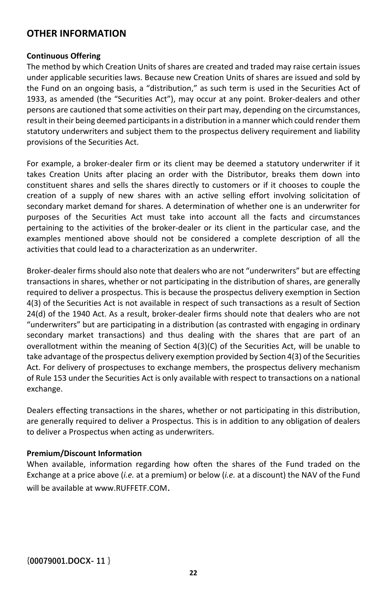## **OTHER INFORMATION**

#### **Continuous Offering**

The method by which Creation Units of shares are created and traded may raise certain issues under applicable securities laws. Because new Creation Units of shares are issued and sold by the Fund on an ongoing basis, a "distribution," as such term is used in the Securities Act of 1933, as amended (the "Securities Act"), may occur at any point. Broker-dealers and other persons are cautioned that some activities on their part may, depending on the circumstances, result in their being deemed participants in a distribution in a manner which could render them statutory underwriters and subject them to the prospectus delivery requirement and liability provisions of the Securities Act.

For example, a broker-dealer firm or its client may be deemed a statutory underwriter if it takes Creation Units after placing an order with the Distributor, breaks them down into constituent shares and sells the shares directly to customers or if it chooses to couple the creation of a supply of new shares with an active selling effort involving solicitation of secondary market demand for shares. A determination of whether one is an underwriter for purposes of the Securities Act must take into account all the facts and circumstances pertaining to the activities of the broker-dealer or its client in the particular case, and the examples mentioned above should not be considered a complete description of all the activities that could lead to a characterization as an underwriter.

Broker-dealer firms should also note that dealers who are not "underwriters" but are effecting transactions in shares, whether or not participating in the distribution of shares, are generally required to deliver a prospectus. This is because the prospectus delivery exemption in Section 4(3) of the Securities Act is not available in respect of such transactions as a result of Section 24(d) of the 1940 Act. As a result, broker-dealer firms should note that dealers who are not "underwriters" but are participating in a distribution (as contrasted with engaging in ordinary secondary market transactions) and thus dealing with the shares that are part of an overallotment within the meaning of Section 4(3)(C) of the Securities Act, will be unable to take advantage of the prospectus delivery exemption provided by Section 4(3) of the Securities Act. For delivery of prospectuses to exchange members, the prospectus delivery mechanism of Rule 153 under the Securities Act is only available with respect to transactions on a national exchange.

Dealers effecting transactions in the shares, whether or not participating in this distribution, are generally required to deliver a Prospectus. This is in addition to any obligation of dealers to deliver a Prospectus when acting as underwriters.

#### **Premium/Discount Information**

When available, information regarding how often the shares of the Fund traded on the Exchange at a price above (*i.e.* at a premium) or below (*i.e.* at a discount) the NAV of the Fund will be available at www.RUFFETF.COM.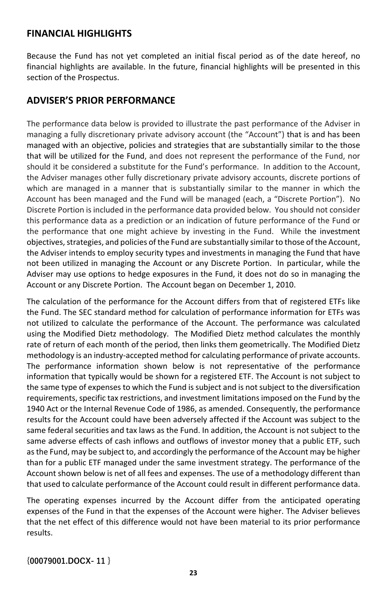### **FINANCIAL HIGHLIGHTS**

Because the Fund has not yet completed an initial fiscal period as of the date hereof, no financial highlights are available. In the future, financial highlights will be presented in this section of the Prospectus.

## **ADVISER'S PRIOR PERFORMANCE**

The performance data below is provided to illustrate the past performance of the Adviser in managing a fully discretionary private advisory account (the "Account") that is and has been managed with an objective, policies and strategies that are substantially similar to the those that will be utilized for the Fund, and does not represent the performance of the Fund, nor should it be considered a substitute for the Fund's performance. In addition to the Account, the Adviser manages other fully discretionary private advisory accounts, discrete portions of which are managed in a manner that is substantially similar to the manner in which the Account has been managed and the Fund will be managed (each, a "Discrete Portion"). No Discrete Portion is included in the performance data provided below. You should not consider this performance data as a prediction or an indication of future performance of the Fund or the performance that one might achieve by investing in the Fund. While the investment objectives, strategies, and policies of the Fund are substantially similar to those of the Account, the Adviser intends to employ security types and investments in managing the Fund that have not been utilized in managing the Account or any Discrete Portion. In particular, while the Adviser may use options to hedge exposures in the Fund, it does not do so in managing the Account or any Discrete Portion. The Account began on December 1, 2010.

The calculation of the performance for the Account differs from that of registered ETFs like the Fund. The SEC standard method for calculation of performance information for ETFs was not utilized to calculate the performance of the Account. The performance was calculated using the Modified Dietz methodology. The Modified Dietz method calculates the monthly rate of return of each month of the period, then links them geometrically. The Modified Dietz methodology is an industry-accepted method for calculating performance of private accounts. The performance information shown below is not representative of the performance information that typically would be shown for a registered ETF. The Account is not subject to the same type of expenses to which the Fund is subject and is not subject to the diversification requirements, specific tax restrictions, and investment limitations imposed on the Fund by the 1940 Act or the Internal Revenue Code of 1986, as amended. Consequently, the performance results for the Account could have been adversely affected if the Account was subject to the same federal securities and tax laws as the Fund. In addition, the Account is not subject to the same adverse effects of cash inflows and outflows of investor money that a public ETF, such as the Fund, may be subject to, and accordingly the performance of the Account may be higher than for a public ETF managed under the same investment strategy. The performance of the Account shown below is net of all fees and expenses. The use of a methodology different than that used to calculate performance of the Account could result in different performance data.

The operating expenses incurred by the Account differ from the anticipated operating expenses of the Fund in that the expenses of the Account were higher. The Adviser believes that the net effect of this difference would not have been material to its prior performance results.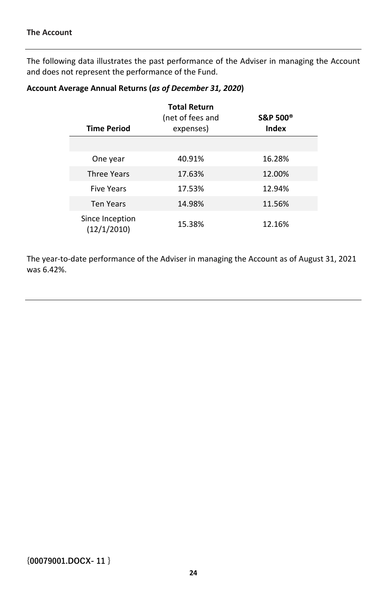The following data illustrates the past performance of the Adviser in managing the Account and does not represent the performance of the Fund.

#### **Account Average Annual Returns (***as of December 31, 2020***)**

|                                | <b>Total Return</b><br>(net of fees and | <b>S&amp;P 500®</b> |
|--------------------------------|-----------------------------------------|---------------------|
| <b>Time Period</b>             | expenses)                               | Index               |
|                                |                                         |                     |
| One year                       | 40.91%                                  | 16.28%              |
| <b>Three Years</b>             | 17.63%                                  | 12.00%              |
| <b>Five Years</b>              | 17.53%                                  | 12.94%              |
| <b>Ten Years</b>               | 14.98%                                  | 11.56%              |
| Since Inception<br>(12/1/2010) | 15.38%                                  | 12.16%              |

The year-to-date performance of the Adviser in managing the Account as of August 31, 2021 was 6.42%.